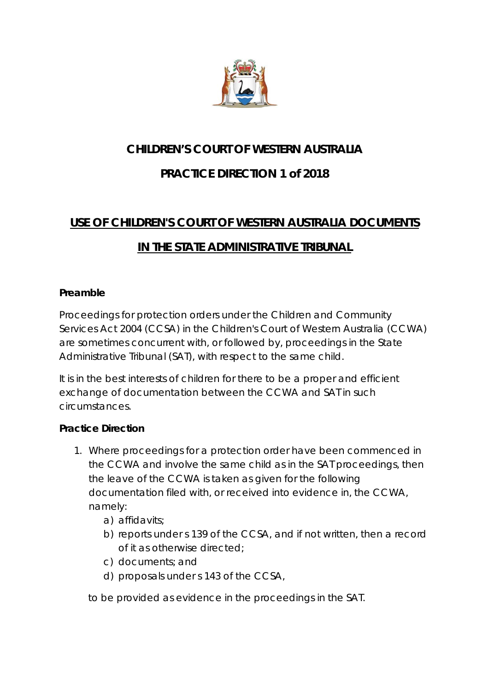

#### **CHILDREN'S COURT OF WESTERN AUSTRALIA**

## **PRACTICE DIRECTION 1 of 2018**

# **USE OF CHILDREN'S COURT OF WESTERN AUSTRALIA DOCUMENTS**

### **IN THE STATE ADMINISTRATIVE TRIBUNAL**

#### **Preamble**

Proceedings for protection orders under the Children and Community Services Act 2004 (CCSA) in the Children's Court of Western Australia (CCWA) are sometimes concurrent with, or followed by, proceedings in the State Administrative Tribunal (SAT), with respect to the same child.

It is in the best interests of children for there to be a proper and efficient exchange of documentation between the CCWA and SAT in such circumstances.

#### **Practice Direction**

- 1. Where proceedings for a protection order have been commenced in the CCWA and involve the same child as in the SAT proceedings, then the leave of the CCWA is taken as given for the following documentation filed with, or received into evidence in, the CCWA, namely:
	- a) affidavits;
	- b) reports under s 139 of the CCSA, and if not written, then a record of it as otherwise directed;
	- c) documents; and
	- d) proposals under s 143 of the CCSA,

to be provided as evidence in the proceedings in the SAT.